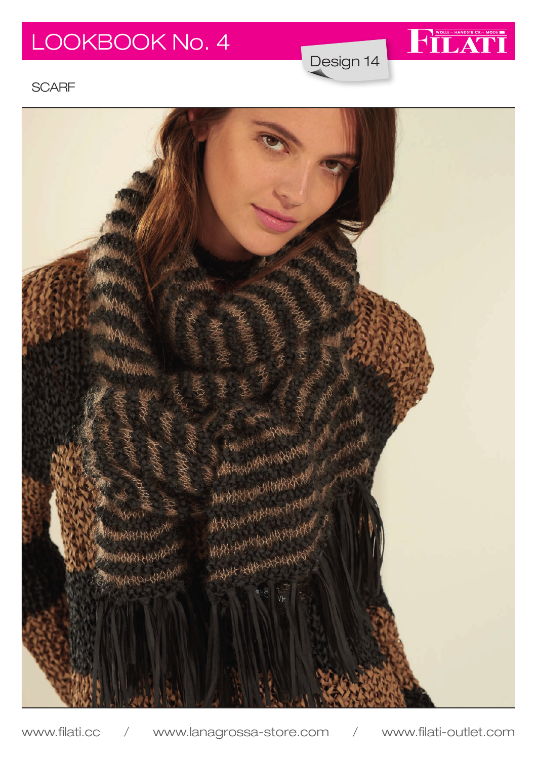# LOOKBOOK No. 4

Design 14

WOLLE-HANDSTRICK-MODE

### **SCARF**